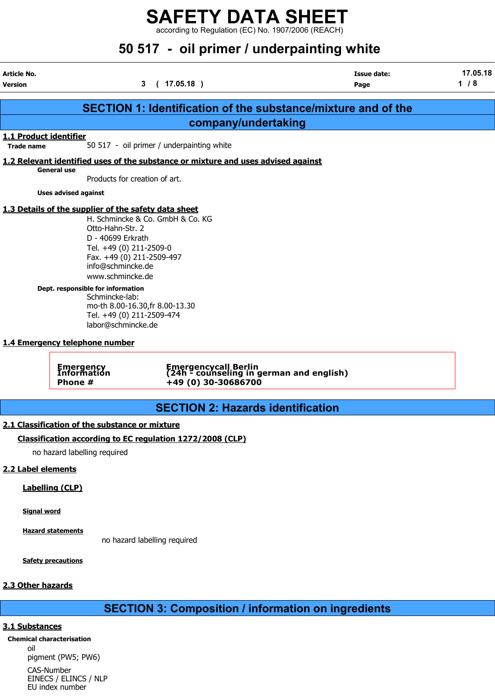according to Regulation (EC) No. 1907/2006 (REACH)

## 50 517 - oil primer / underpainting white

| Article No.<br><b>Version</b>               |                                                                                                                                                                                                                                                                                                                           | (17.05.18)<br>3                                                                                                                                                | <b>Issue date:</b><br>Page                                           | 17.05.18<br>$1/8$ |
|---------------------------------------------|---------------------------------------------------------------------------------------------------------------------------------------------------------------------------------------------------------------------------------------------------------------------------------------------------------------------------|----------------------------------------------------------------------------------------------------------------------------------------------------------------|----------------------------------------------------------------------|-------------------|
|                                             |                                                                                                                                                                                                                                                                                                                           |                                                                                                                                                                | <b>SECTION 1: Identification of the substance/mixture and of the</b> |                   |
|                                             |                                                                                                                                                                                                                                                                                                                           | company/undertaking                                                                                                                                            |                                                                      |                   |
| 1.1 Product identifier<br><b>Trade name</b> |                                                                                                                                                                                                                                                                                                                           | 50 517 - oil primer / underpainting white                                                                                                                      |                                                                      |                   |
|                                             |                                                                                                                                                                                                                                                                                                                           | 1.2 Relevant identified uses of the substance or mixture and uses advised against                                                                              |                                                                      |                   |
|                                             | <b>General use</b><br>Products for creation of art.                                                                                                                                                                                                                                                                       |                                                                                                                                                                |                                                                      |                   |
|                                             | <b>Uses advised against</b>                                                                                                                                                                                                                                                                                               |                                                                                                                                                                |                                                                      |                   |
|                                             | 1.3 Details of the supplier of the safety data sheet                                                                                                                                                                                                                                                                      |                                                                                                                                                                |                                                                      |                   |
|                                             | Otto-Hahn-Str. 2<br>D - 40699 Erkrath<br>Tel. +49 (0) 211-2509-0<br>Fax. +49 (0) 211-2509-497<br>info@schmincke.de<br>www.schmincke.de<br>Dept. responsible for information<br>Schmincke-lab:<br>Tel. +49 (0) 211-2509-474<br>labor@schmincke.de<br>1.4 Emergency telephone number<br>Emergency<br>Information<br>Phone # | H. Schmincke & Co. GmbH & Co. KG<br>mo-th 8.00-16.30, fr 8.00-13.30<br>Emergencycall Berlin<br>(24h - counseling in german and english)<br>+49 (0) 30-30686700 |                                                                      |                   |
|                                             |                                                                                                                                                                                                                                                                                                                           |                                                                                                                                                                |                                                                      |                   |
|                                             |                                                                                                                                                                                                                                                                                                                           | <b>SECTION 2: Hazards identification</b>                                                                                                                       |                                                                      |                   |
|                                             | 2.1 Classification of the substance or mixture                                                                                                                                                                                                                                                                            |                                                                                                                                                                |                                                                      |                   |
|                                             |                                                                                                                                                                                                                                                                                                                           | Classification according to EC regulation 1272/2008 (CLP)                                                                                                      |                                                                      |                   |
|                                             | no hazard labelling required                                                                                                                                                                                                                                                                                              |                                                                                                                                                                |                                                                      |                   |
| 2.2 Label elements                          |                                                                                                                                                                                                                                                                                                                           |                                                                                                                                                                |                                                                      |                   |
|                                             | <b>Labelling (CLP)</b>                                                                                                                                                                                                                                                                                                    |                                                                                                                                                                |                                                                      |                   |
| <b>Signal word</b>                          |                                                                                                                                                                                                                                                                                                                           |                                                                                                                                                                |                                                                      |                   |
|                                             | <b>Hazard statements</b>                                                                                                                                                                                                                                                                                                  | no hazard labelling required                                                                                                                                   |                                                                      |                   |
|                                             | <b>Safety precautions</b>                                                                                                                                                                                                                                                                                                 |                                                                                                                                                                |                                                                      |                   |

#### 2.3 Other hazards

SECTION 3: Composition / information on ingredients

#### 3.1 Substances

Chemical characterisation oil pigment (PW5; PW6)

> CAS-Number EINECS / ELINCS / NLP EU index number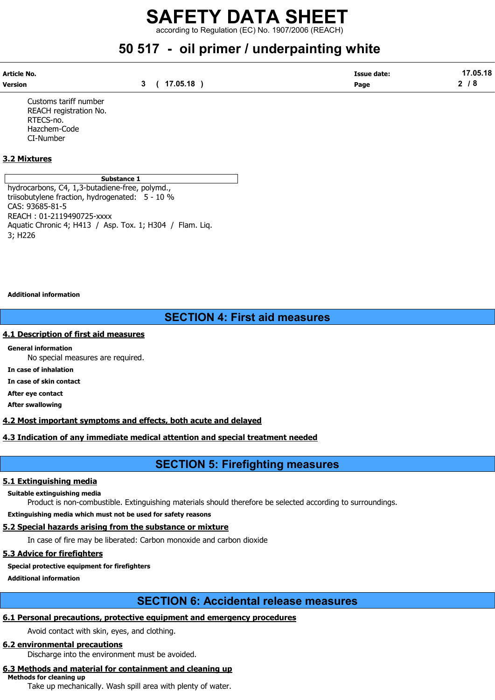according to Regulation (EC) No. 1907/2006 (REACH)

### 50 517 - oil primer / underpainting white

| Article No. |              | <b>Issue date:</b> | 17.05.18 |
|-------------|--------------|--------------------|----------|
| Version     | 3 ( 17.05.18 | Page               | 2/8      |

Customs tariff number REACH registration No. RTECS-no. Hazchem-Code CI-Number

#### 3.2 Mixtures

Substance 1

hydrocarbons, C4, 1,3-butadiene-free, polymd., triisobutylene fraction, hydrogenated: 5 - 10 % CAS: 93685-81-5 REACH : 01-2119490725-xxxx Aquatic Chronic 4; H413 / Asp. Tox. 1; H304 / Flam. Liq. 3; H226

Additional information

### SECTION 4: First aid measures

#### 4.1 Description of first aid measures

General information No special measures are required.

In case of inhalation

In case of skin contact

After eye contact

After swallowing

4.2 Most important symptoms and effects, both acute and delayed

#### 4.3 Indication of any immediate medical attention and special treatment needed

### SECTION 5: Firefighting measures

#### 5.1 Extinguishing media

Suitable extinguishing media

Product is non-combustible. Extinguishing materials should therefore be selected according to surroundings.

Extinguishing media which must not be used for safety reasons

### 5.2 Special hazards arising from the substance or mixture

In case of fire may be liberated: Carbon monoxide and carbon dioxide

### 5.3 Advice for firefighters

#### Special protective equipment for firefighters

Additional information

### SECTION 6: Accidental release measures

### 6.1 Personal precautions, protective equipment and emergency procedures

Avoid contact with skin, eyes, and clothing.

### 6.2 environmental precautions

Discharge into the environment must be avoided.

### 6.3 Methods and material for containment and cleaning up

Methods for cleaning up

Take up mechanically. Wash spill area with plenty of water.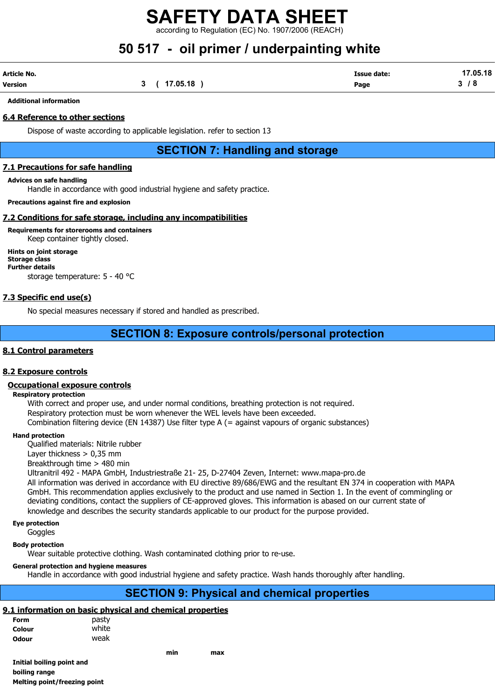according to Regulation (EC) No. 1907/2006 (REACH)

## 50 517 - oil primer / underpainting white

| Article No. |              | <b>Issue date:</b> | 17.05.18 |
|-------------|--------------|--------------------|----------|
| Version     | 3 ( 17.05.18 | Page               | 3/8      |

Additional information

#### 6.4 Reference to other sections

Dispose of waste according to applicable legislation. refer to section 13

### SECTION 7: Handling and storage

#### 7.1 Precautions for safe handling

#### Advices on safe handling

Handle in accordance with good industrial hygiene and safety practice.

Precautions against fire and explosion

#### 7.2 Conditions for safe storage, including any incompatibilities

Requirements for storerooms and containers

Keep container tightly closed. Hints on joint storage Storage class Further details

storage temperature: 5 - 40 °C

#### 7.3 Specific end use(s)

No special measures necessary if stored and handled as prescribed.

### SECTION 8: Exposure controls/personal protection

#### 8.1 Control parameters

#### 8.2 Exposure controls

#### Occupational exposure controls

#### Respiratory protection

With correct and proper use, and under normal conditions, breathing protection is not required. Respiratory protection must be worn whenever the WEL levels have been exceeded. Combination filtering device (EN 14387) Use filter type A (= against vapours of organic substances)

#### Hand protection

Qualified materials: Nitrile rubber

Layer thickness  $> 0.35$  mm

Breakthrough time > 480 min

Ultranitril 492 - MAPA GmbH, Industriestraße 21- 25, D-27404 Zeven, Internet: www.mapa-pro.de All information was derived in accordance with EU directive 89/686/EWG and the resultant EN 374 in cooperation with MAPA GmbH. This recommendation applies exclusively to the product and use named in Section 1. In the event of commingling or deviating conditions, contact the suppliers of CE-approved gloves. This information is abased on our current state of knowledge and describes the security standards applicable to our product for the purpose provided.

Eye protection

**Goggles** 

Body protection

Wear suitable protective clothing. Wash contaminated clothing prior to re-use.

#### General protection and hygiene measures

Handle in accordance with good industrial hygiene and safety practice. Wash hands thoroughly after handling.

### SECTION 9: Physical and chemical properties

### 9.1 information on basic physical and chemical properties

| <b>Form</b> | pasty |
|-------------|-------|
| Colour      | white |
| Odour       | weak  |

min max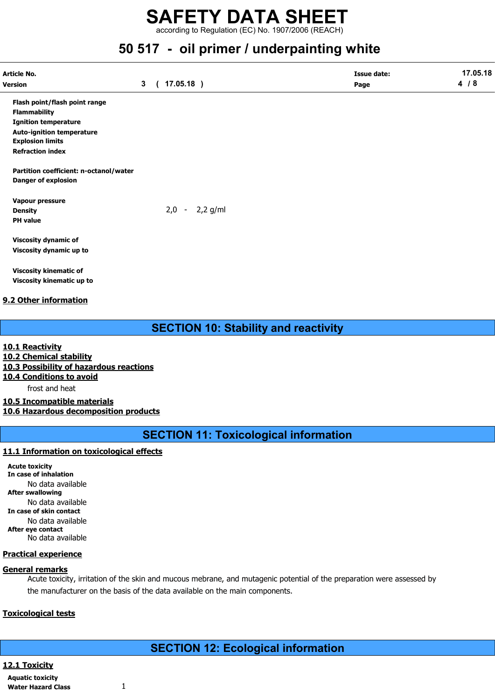according to Regulation (EC) No. 1907/2006 (REACH)

### 50 517 - oil primer / underpainting white

| Article No.                            |                |                  | <b>Issue date:</b> | 17.05.18 |
|----------------------------------------|----------------|------------------|--------------------|----------|
| <b>Version</b>                         | 3 <sup>1</sup> | (17.05.18)       | Page               | 4/8      |
| Flash point/flash point range          |                |                  |                    |          |
| <b>Flammability</b>                    |                |                  |                    |          |
| <b>Ignition temperature</b>            |                |                  |                    |          |
| <b>Auto-ignition temperature</b>       |                |                  |                    |          |
| <b>Explosion limits</b>                |                |                  |                    |          |
| <b>Refraction index</b>                |                |                  |                    |          |
| Partition coefficient: n-octanol/water |                |                  |                    |          |
| <b>Danger of explosion</b>             |                |                  |                    |          |
| Vapour pressure                        |                |                  |                    |          |
| <b>Density</b>                         |                | $2,0 - 2,2$ g/ml |                    |          |
| <b>PH</b> value                        |                |                  |                    |          |
| <b>Viscosity dynamic of</b>            |                |                  |                    |          |
| Viscosity dynamic up to                |                |                  |                    |          |
| <b>Viscosity kinematic of</b>          |                |                  |                    |          |
| Viscosity kinematic up to              |                |                  |                    |          |

#### 9.2 Other information

### SECTION 10: Stability and reactivity

10.1 Reactivity

10.2 Chemical stability

10.3 Possibility of hazardous reactions

10.4 Conditions to avoid

frost and heat

10.5 Incompatible materials 10.6 Hazardous decomposition products

SECTION 11: Toxicological information

#### 11.1 Information on toxicological effects

Acute toxicity In case of inhalation No data available After swallowing No data available In case of skin contact No data available After eye contact No data available

#### Practical experience

#### General remarks

Acute toxicity, irritation of the skin and mucous mebrane, and mutagenic potential of the preparation were assessed by the manufacturer on the basis of the data available on the main components.

#### Toxicological tests

### SECTION 12: Ecological information

12.1 Toxicity

Aquatic toxicity Water Hazard Class 1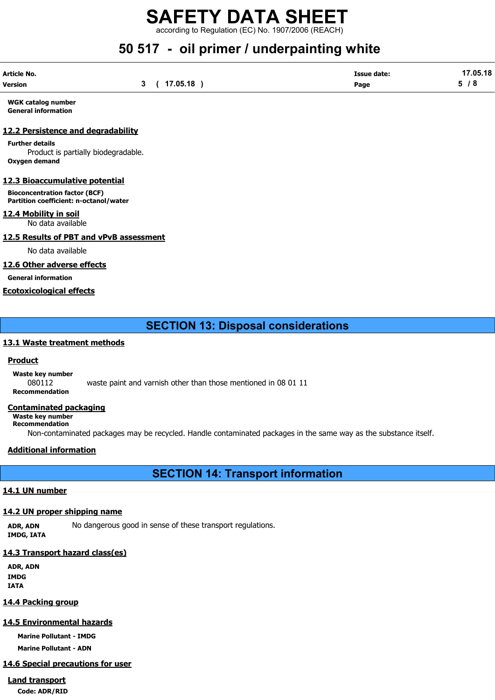according to Regulation (EC) No. 1907/2006 (REACH)

## 50 517 - oil primer / underpainting white

| Article No. |              | <b>Issue date:</b> | 17.05.18 |
|-------------|--------------|--------------------|----------|
| Version     | 3 ( 17.05.18 | Page               | 5/8      |

WGK catalog number General information

#### 12.2 Persistence and degradability

Further details Product is partially biodegradable. Oxygen demand

#### 12.3 Bioaccumulative potential

Bioconcentration factor (BCF) Partition coefficient: n-octanol/water

#### 12.4 Mobility in soil

No data available

#### 12.5 Results of PBT and vPvB assessment

No data available

#### 12.6 Other adverse effects

General information

#### Ecotoxicological effects

### SECTION 13: Disposal considerations

#### 13.1 Waste treatment methods

#### Product

Waste key number 080112 waste paint and varnish other than those mentioned in 08 01 11 Recommendation

#### Contaminated packaging

Waste key number Recommendation

Non-contaminated packages may be recycled. Handle contaminated packages in the same way as the substance itself.

#### Additional information

SECTION 14: Transport information

#### 14.1 UN number

#### 14.2 UN proper shipping name

ADR, ADN No dangerous good in sense of these transport regulations. IMDG, IATA

#### 14.3 Transport hazard class(es)

ADR, ADN IMDG IATA

#### 14.4 Packing group

#### 14.5 Environmental hazards

Marine Pollutant - IMDG

Marine Pollutant - ADN

### 14.6 Special precautions for user

### Land transport

Code: ADR/RID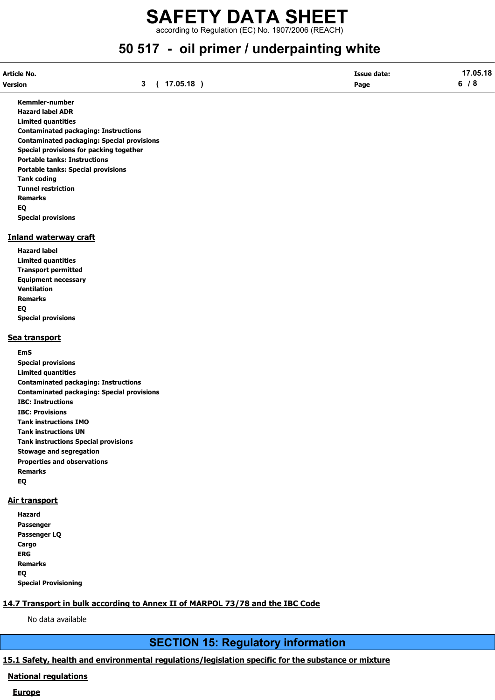according to Regulation (EC) No. 1907/2006 (REACH)

## 50 517 - oil primer / underpainting white

| Article No. |          | Issue date: | 17.05.18 |
|-------------|----------|-------------|----------|
| Version     | 17.05.18 | Page        |          |

Kemmler-number Hazard label ADR Limited quantities Contaminated packaging: Instructions Contaminated packaging: Special provisions Special provisions for packing together Portable tanks: Instructions Portable tanks: Special provisions Tank coding Tunnel restriction Remarks EQ Special provisions

#### Inland waterway craft

Hazard label Limited quantities Transport permitted Equipment necessary Ventilation Remarks EQ Special provisions

#### Sea transport

EmS Special provisions Limited quantities Contaminated packaging: Instructions Contaminated packaging: Special provisions IBC: Instructions IBC: Provisions Tank instructions IMO Tank instructions UN Tank instructions Special provisions Stowage and segregation Properties and observations Remarks EQ

#### Air transport

| Hazard                      |
|-----------------------------|
| Passenger                   |
| Passenger LQ                |
| Cargo                       |
| ERG                         |
| <b>Remarks</b>              |
| EQ                          |
| <b>Special Provisioning</b> |

### 14.7 Transport in bulk according to Annex II of MARPOL 73/78 and the IBC Code

No data available

### SECTION 15: Regulatory information

### 15.1 Safety, health and environmental regulations/legislation specific for the substance or mixture

### National regulations

#### Europe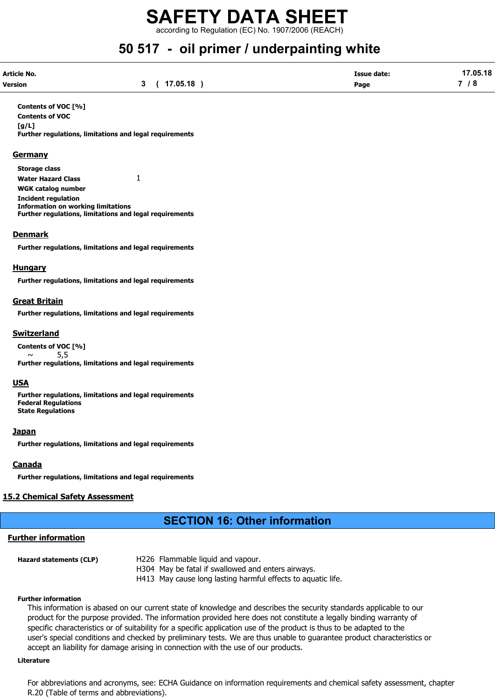according to Regulation (EC) No. 1907/2006 (REACH)

## 50 517 - oil primer / underpainting white

| Article No. |              | <b>Issue date:</b> | 17.05.18 |
|-------------|--------------|--------------------|----------|
| Version     | 3 ( 17.05.18 | Page               | 7 / 8    |

Contents of VOC [%] Contents of VOC [g/L] Further regulations, limitations and legal requirements

#### **Germany**

Storage class Water Hazard Class 1 WGK catalog number Incident regulation Information on working limitations Further regulations, limitations and legal requirements

#### Denmark

Further regulations, limitations and legal requirements

#### **Hungary**

Further regulations, limitations and legal requirements

#### Great Britain

Further regulations, limitations and legal requirements

#### Switzerland

Contents of VOC [%]  $\sim$  5,5 Further regulations, limitations and legal requirements

#### USA

Further regulations, limitations and legal requirements Federal Regulations State Regulations

#### **Japan**

Further regulations, limitations and legal requirements

#### **Canada**

Further regulations, limitations and legal requirements

### 15.2 Chemical Safety Assessment

### SECTION 16: Other information

### Further information

| H226 Flammable liquid and vapour.                            |
|--------------------------------------------------------------|
| H304 May be fatal if swallowed and enters airways.           |
| H413 May cause long lasting harmful effects to aquatic life. |
|                                                              |

#### Further information

This information is abased on our current state of knowledge and describes the security standards applicable to our product for the purpose provided. The information provided here does not constitute a legally binding warranty of specific characteristics or of suitability for a specific application use of the product is thus to be adapted to the user's special conditions and checked by preliminary tests. We are thus unable to guarantee product characteristics or accept an liability for damage arising in connection with the use of our products.

#### Literature

For abbreviations and acronyms, see: ECHA Guidance on information requirements and chemical safety assessment, chapter R.20 (Table of terms and abbreviations).